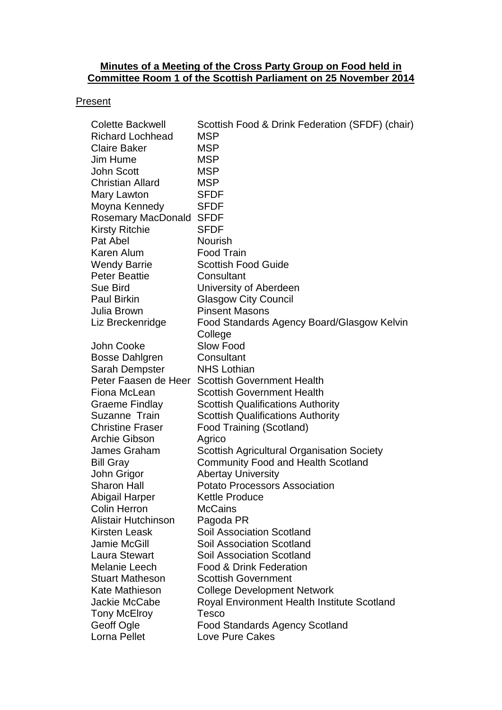#### **Minutes of a Meeting of the Cross Party Group on Food held in Committee Room 1 of the Scottish Parliament on 25 November 2014**

#### **Present**

| <b>Colette Backwell</b> | Scottish Food & Drink Federation (SFDF) (chair)   |
|-------------------------|---------------------------------------------------|
| <b>Richard Lochhead</b> | MSP                                               |
| <b>Claire Baker</b>     | <b>MSP</b>                                        |
| Jim Hume                | MSP                                               |
| <b>John Scott</b>       | <b>MSP</b>                                        |
| <b>Christian Allard</b> | <b>MSP</b>                                        |
| Mary Lawton             | <b>SFDF</b>                                       |
| Moyna Kennedy           | <b>SFDF</b>                                       |
| Rosemary MacDonald      | <b>SFDF</b>                                       |
| <b>Kirsty Ritchie</b>   | <b>SFDF</b>                                       |
| Pat Abel                | <b>Nourish</b>                                    |
| Karen Alum              | <b>Food Train</b>                                 |
| <b>Wendy Barrie</b>     | <b>Scottish Food Guide</b>                        |
| <b>Peter Beattie</b>    | Consultant                                        |
| <b>Sue Bird</b>         | University of Aberdeen                            |
| <b>Paul Birkin</b>      | <b>Glasgow City Council</b>                       |
| Julia Brown             | <b>Pinsent Masons</b>                             |
| Liz Breckenridge        | Food Standards Agency Board/Glasgow Kelvin        |
|                         | College                                           |
| John Cooke              | Slow Food                                         |
| <b>Bosse Dahlgren</b>   | Consultant                                        |
| Sarah Dempster          | <b>NHS Lothian</b>                                |
|                         | Peter Faasen de Heer Scottish Government Health   |
| Fiona McLean            | <b>Scottish Government Health</b>                 |
| <b>Graeme Findlay</b>   | <b>Scottish Qualifications Authority</b>          |
| Suzanne Train           | <b>Scottish Qualifications Authority</b>          |
| <b>Christine Fraser</b> | Food Training (Scotland)                          |
| <b>Archie Gibson</b>    | Agrico                                            |
| James Graham            | <b>Scottish Agricultural Organisation Society</b> |
| <b>Bill Gray</b>        | <b>Community Food and Health Scotland</b>         |
| John Grigor             | <b>Abertay University</b>                         |
| <b>Sharon Hall</b>      | <b>Potato Processors Association</b>              |
| Abigail Harper          | Kettle Produce                                    |
| <b>Colin Herron</b>     | <b>McCains</b>                                    |
| Alistair Hutchinson     | Pagoda PR                                         |
| Kirsten Leask           | <b>Soil Association Scotland</b>                  |
| Jamie McGill            | <b>Soil Association Scotland</b>                  |
| <b>Laura Stewart</b>    | <b>Soil Association Scotland</b>                  |
| Melanie Leech           | <b>Food &amp; Drink Federation</b>                |
| <b>Stuart Matheson</b>  | <b>Scottish Government</b>                        |
| Kate Mathieson          | <b>College Development Network</b>                |
| Jackie McCabe           | Royal Environment Health Institute Scotland       |
| Tony McElroy            | Tesco                                             |
| Geoff Ogle              | <b>Food Standards Agency Scotland</b>             |
| Lorna Pellet            | Love Pure Cakes                                   |
|                         |                                                   |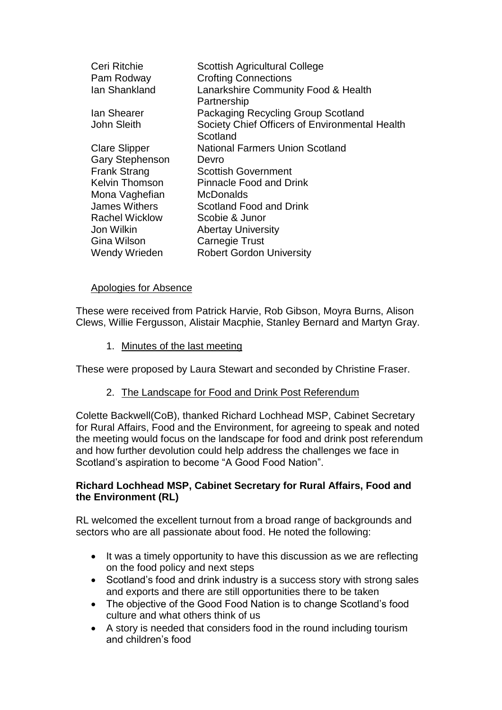| Ceri Ritchie           | <b>Scottish Agricultural College</b>           |
|------------------------|------------------------------------------------|
| Pam Rodway             | <b>Crofting Connections</b>                    |
| Ian Shankland          | Lanarkshire Community Food & Health            |
|                        | Partnership                                    |
| lan Shearer            | Packaging Recycling Group Scotland             |
| <b>John Sleith</b>     | Society Chief Officers of Environmental Health |
|                        | Scotland                                       |
| <b>Clare Slipper</b>   | <b>National Farmers Union Scotland</b>         |
| <b>Gary Stephenson</b> | Devro                                          |
| <b>Frank Strang</b>    | <b>Scottish Government</b>                     |
| <b>Kelvin Thomson</b>  | <b>Pinnacle Food and Drink</b>                 |
| Mona Vaghefian         | <b>McDonalds</b>                               |
| James Withers          | Scotland Food and Drink                        |
| <b>Rachel Wicklow</b>  | Scobie & Junor                                 |
| Jon Wilkin             | <b>Abertay University</b>                      |
| Gina Wilson            | <b>Carnegie Trust</b>                          |
| <b>Wendy Wrieden</b>   | <b>Robert Gordon University</b>                |

#### Apologies for Absence

These were received from Patrick Harvie, Rob Gibson, Moyra Burns, Alison Clews, Willie Fergusson, Alistair Macphie, Stanley Bernard and Martyn Gray.

1. Minutes of the last meeting

These were proposed by Laura Stewart and seconded by Christine Fraser.

2. The Landscape for Food and Drink Post Referendum

Colette Backwell(CoB), thanked Richard Lochhead MSP, Cabinet Secretary for Rural Affairs, Food and the Environment, for agreeing to speak and noted the meeting would focus on the landscape for food and drink post referendum and how further devolution could help address the challenges we face in Scotland's aspiration to become "A Good Food Nation".

#### **Richard Lochhead MSP, Cabinet Secretary for Rural Affairs, Food and the Environment (RL)**

RL welcomed the excellent turnout from a broad range of backgrounds and sectors who are all passionate about food. He noted the following:

- It was a timely opportunity to have this discussion as we are reflecting on the food policy and next steps
- Scotland's food and drink industry is a success story with strong sales and exports and there are still opportunities there to be taken
- The objective of the Good Food Nation is to change Scotland's food culture and what others think of us
- A story is needed that considers food in the round including tourism and children's food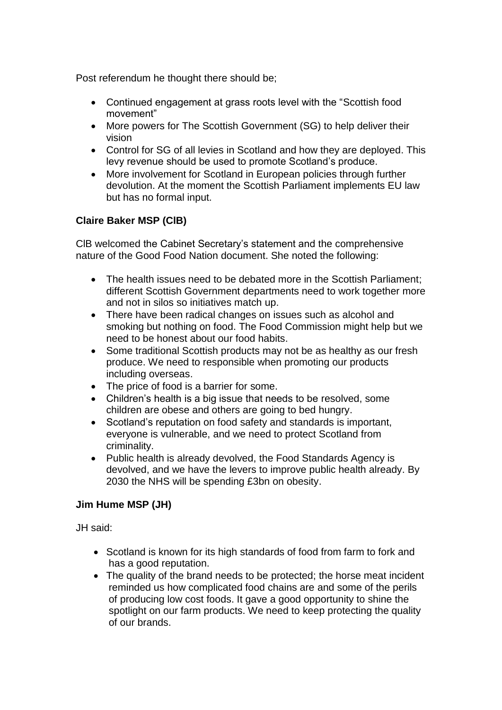Post referendum he thought there should be;

- Continued engagement at grass roots level with the "Scottish food movement"
- More powers for The Scottish Government (SG) to help deliver their vision
- Control for SG of all levies in Scotland and how they are deployed. This levy revenue should be used to promote Scotland's produce.
- More involvement for Scotland in European policies through further devolution. At the moment the Scottish Parliament implements EU law but has no formal input.

# **Claire Baker MSP (ClB)**

ClB welcomed the Cabinet Secretary's statement and the comprehensive nature of the Good Food Nation document. She noted the following:

- The health issues need to be debated more in the Scottish Parliament; different Scottish Government departments need to work together more and not in silos so initiatives match up.
- There have been radical changes on issues such as alcohol and smoking but nothing on food. The Food Commission might help but we need to be honest about our food habits.
- Some traditional Scottish products may not be as healthy as our fresh produce. We need to responsible when promoting our products including overseas.
- The price of food is a barrier for some.
- Children's health is a big issue that needs to be resolved, some children are obese and others are going to bed hungry.
- Scotland's reputation on food safety and standards is important, everyone is vulnerable, and we need to protect Scotland from criminality.
- Public health is already devolved, the Food Standards Agency is devolved, and we have the levers to improve public health already. By 2030 the NHS will be spending £3bn on obesity.

# **Jim Hume MSP (JH)**

JH said:

- Scotland is known for its high standards of food from farm to fork and has a good reputation.
- The quality of the brand needs to be protected; the horse meat incident reminded us how complicated food chains are and some of the perils of producing low cost foods. It gave a good opportunity to shine the spotlight on our farm products. We need to keep protecting the quality of our brands.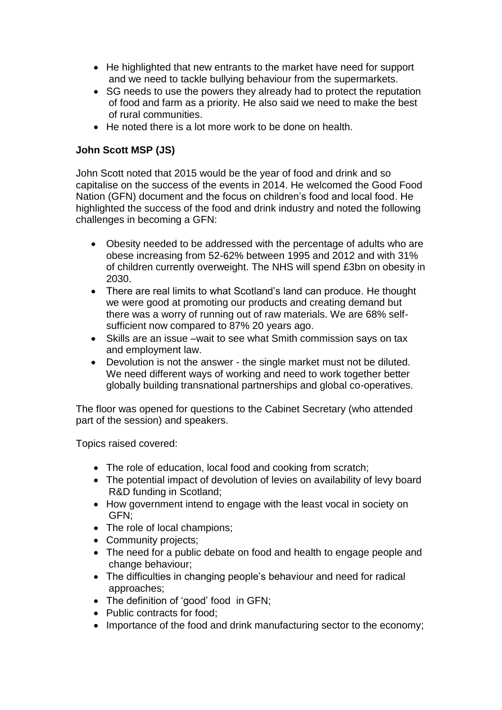- He highlighted that new entrants to the market have need for support and we need to tackle bullying behaviour from the supermarkets.
- SG needs to use the powers they already had to protect the reputation of food and farm as a priority. He also said we need to make the best of rural communities.
- He noted there is a lot more work to be done on health.

# **John Scott MSP (JS)**

John Scott noted that 2015 would be the year of food and drink and so capitalise on the success of the events in 2014. He welcomed the Good Food Nation (GFN) document and the focus on children's food and local food. He highlighted the success of the food and drink industry and noted the following challenges in becoming a GFN:

- Obesity needed to be addressed with the percentage of adults who are obese increasing from 52-62% between 1995 and 2012 and with 31% of children currently overweight. The NHS will spend £3bn on obesity in 2030.
- There are real limits to what Scotland's land can produce. He thought we were good at promoting our products and creating demand but there was a worry of running out of raw materials. We are 68% selfsufficient now compared to 87% 20 years ago.
- Skills are an issue –wait to see what Smith commission says on tax and employment law.
- Devolution is not the answer the single market must not be diluted. We need different ways of working and need to work together better globally building transnational partnerships and global co-operatives.

The floor was opened for questions to the Cabinet Secretary (who attended part of the session) and speakers.

Topics raised covered:

- The role of education, local food and cooking from scratch:
- The potential impact of devolution of levies on availability of levy board R&D funding in Scotland;
- How government intend to engage with the least vocal in society on GFN;
- The role of local champions;
- Community projects;
- The need for a public debate on food and health to engage people and change behaviour;
- The difficulties in changing people's behaviour and need for radical approaches;
- The definition of 'good' food in GFN:
- Public contracts for food;
- Importance of the food and drink manufacturing sector to the economy: